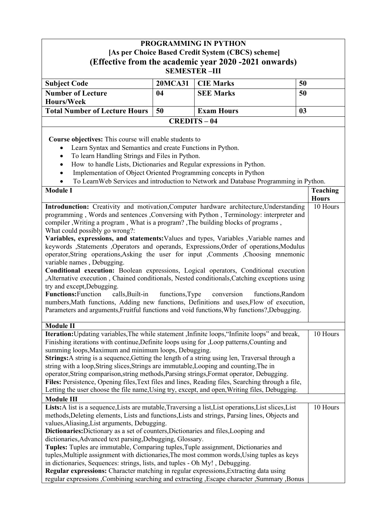| <b>PROGRAMMING IN PYTHON</b><br>[As per Choice Based Credit System (CBCS) scheme]<br>(Effective from the academic year 2020 -2021 onwards)<br><b>SEMESTER-III</b>                                                                                                                                                                                                                                                                                                                                                                                                                                                                                                                                                                                                                                                                                                                                                                                                                                                                                                                                                                                                                                                                                                                                                                                                                                                                                              |                 |                                                                                                    |                   |                                                          |  |
|----------------------------------------------------------------------------------------------------------------------------------------------------------------------------------------------------------------------------------------------------------------------------------------------------------------------------------------------------------------------------------------------------------------------------------------------------------------------------------------------------------------------------------------------------------------------------------------------------------------------------------------------------------------------------------------------------------------------------------------------------------------------------------------------------------------------------------------------------------------------------------------------------------------------------------------------------------------------------------------------------------------------------------------------------------------------------------------------------------------------------------------------------------------------------------------------------------------------------------------------------------------------------------------------------------------------------------------------------------------------------------------------------------------------------------------------------------------|-----------------|----------------------------------------------------------------------------------------------------|-------------------|----------------------------------------------------------|--|
| <b>Subject Code</b>                                                                                                                                                                                                                                                                                                                                                                                                                                                                                                                                                                                                                                                                                                                                                                                                                                                                                                                                                                                                                                                                                                                                                                                                                                                                                                                                                                                                                                            | <b>20MCA31</b>  | <b>CIE Marks</b>                                                                                   | 50                |                                                          |  |
| <b>Number of Lecture</b><br><b>SEE Marks</b><br>50<br>04                                                                                                                                                                                                                                                                                                                                                                                                                                                                                                                                                                                                                                                                                                                                                                                                                                                                                                                                                                                                                                                                                                                                                                                                                                                                                                                                                                                                       |                 |                                                                                                    |                   |                                                          |  |
| Hours/Week                                                                                                                                                                                                                                                                                                                                                                                                                                                                                                                                                                                                                                                                                                                                                                                                                                                                                                                                                                                                                                                                                                                                                                                                                                                                                                                                                                                                                                                     |                 |                                                                                                    |                   |                                                          |  |
| <b>Total Number of Lecture Hours</b>                                                                                                                                                                                                                                                                                                                                                                                                                                                                                                                                                                                                                                                                                                                                                                                                                                                                                                                                                                                                                                                                                                                                                                                                                                                                                                                                                                                                                           | 50              | <b>Exam Hours</b>                                                                                  | 0 <sub>3</sub>    |                                                          |  |
|                                                                                                                                                                                                                                                                                                                                                                                                                                                                                                                                                                                                                                                                                                                                                                                                                                                                                                                                                                                                                                                                                                                                                                                                                                                                                                                                                                                                                                                                |                 | <b>CREDITS-04</b>                                                                                  |                   |                                                          |  |
| <b>Course objectives:</b> This course will enable students to<br>Learn Syntax and Semantics and create Functions in Python.<br>To learn Handling Strings and Files in Python.<br>$\bullet$<br>How to handle Lists, Dictionaries and Regular expressions in Python.<br>$\bullet$<br>Implementation of Object Oriented Programming concepts in Python<br><b>Module I</b><br>Introdunction: Creativity and motivation, Computer hardware architecture, Understanding<br>programming, Words and sentences, Conversing with Python, Terminology: interpreter and<br>compiler , Writing a program, What is a program? , The building blocks of programs,<br>What could possibly go wrong?:<br>Variables, expressions, and statements: Values and types, Variables , Variable names and<br>keywords ,Statements ,Operators and operands, Expressions,Order of operations,Modulus<br>operator, String operations, Asking the user for input Comments Choosing mnemonic<br>variable names, Debugging.<br>Conditional execution: Boolean expressions, Logical operators, Conditional execution<br>, Alternative execution, Chained conditionals, Nested conditionals, Catching exceptions using<br>try and except, Debugging.<br><b>Functions:</b> Function<br>calls, Built-in<br>numbers, Math functions, Adding new functions, Definitions and uses, Flow of execution,<br>Parameters and arguments, Fruitful functions and void functions, Why functions?, Debugging. | functions, Type | To LearnWeb Services and introduction to Network and Database Programming in Python.<br>conversion | functions, Random | <b>Teaching</b><br><b>Hours</b><br>$\overline{10}$ Hours |  |
| <b>Module II</b>                                                                                                                                                                                                                                                                                                                                                                                                                                                                                                                                                                                                                                                                                                                                                                                                                                                                                                                                                                                                                                                                                                                                                                                                                                                                                                                                                                                                                                               |                 |                                                                                                    |                   |                                                          |  |
| Iteration: Updating variables, The while statement , Infinite loops, "Infinite loops" and break,<br>Finishing iterations with continue, Definite loops using for , Loop patterns, Counting and<br>summing loops, Maximum and minimum loops, Debugging.<br>Strings: A string is a sequence, Getting the length of a string using len, Traversal through a<br>string with a loop, String slices, Strings are immutable, Looping and counting, The in<br>operator, String comparison, string methods, Parsing strings, Format operator, Debugging.<br>Files: Persistence, Opening files, Text files and lines, Reading files, Searching through a file,<br>Letting the user choose the file name, Using try, except, and open, Writing files, Debugging.                                                                                                                                                                                                                                                                                                                                                                                                                                                                                                                                                                                                                                                                                                          |                 |                                                                                                    |                   | 10 Hours                                                 |  |
| <b>Module III</b>                                                                                                                                                                                                                                                                                                                                                                                                                                                                                                                                                                                                                                                                                                                                                                                                                                                                                                                                                                                                                                                                                                                                                                                                                                                                                                                                                                                                                                              |                 |                                                                                                    |                   |                                                          |  |
| Lists: A list is a sequence, Lists are mutable, Traversing a list, List operations, List slices, List<br>methods, Deleting elements, Lists and functions, Lists and strings, Parsing lines, Objects and<br>values, Aliasing, List arguments, Debugging.<br>Dictionaries: Dictionary as a set of counters, Dictionaries and files, Looping and<br>dictionaries, Advanced text parsing, Debugging, Glossary.<br>Tuples: Tuples are immutable, Comparing tuples, Tuple assignment, Dictionaries and<br>tuples, Multiple assignment with dictionaries, The most common words, Using tuples as keys<br>in dictionaries, Sequences: strings, lists, and tuples - Oh My!, Debugging.<br>Regular expressions: Character matching in regular expressions, Extracting data using<br>regular expressions , Combining searching and extracting , Escape character , Summary , Bonus                                                                                                                                                                                                                                                                                                                                                                                                                                                                                                                                                                                        |                 |                                                                                                    |                   | 10 Hours                                                 |  |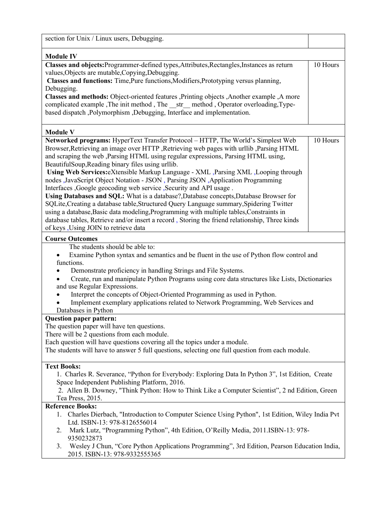| section for Unix / Linux users, Debugging.                                                                                                                              |          |
|-------------------------------------------------------------------------------------------------------------------------------------------------------------------------|----------|
| <b>Module IV</b>                                                                                                                                                        |          |
| Classes and objects: Programmer-defined types, Attributes, Rectangles, Instances as return<br>values, Objects are mutable, Copying, Debugging.                          | 10 Hours |
| Classes and functions: Time, Pure functions, Modifiers, Prototyping versus planning,                                                                                    |          |
| Debugging.                                                                                                                                                              |          |
| Classes and methods: Object-oriented features , Printing objects , Another example , A more                                                                             |          |
| complicated example , The init method , The str method , Operator overloading, Type-<br>based dispatch, Polymorphism, Debugging, Interface and implementation.          |          |
|                                                                                                                                                                         |          |
| <b>Module V</b>                                                                                                                                                         |          |
| Networked programs: HyperText Transfer Protocol - HTTP, The World's Simplest Web                                                                                        | 10 Hours |
| Browser, Retrieving an image over HTTP, Retrieving web pages with urllib, Parsing HTML                                                                                  |          |
| and scraping the web , Parsing HTML using regular expressions, Parsing HTML using,                                                                                      |          |
| BeautifulSoup, Reading binary files using urllib.                                                                                                                       |          |
| Using Web Services: eXtensible Markup Language - XML , Parsing XML , Looping through<br>nodes ,JavaScript Object Notation - JSON, Parsing JSON, Application Programming |          |
| Interfaces , Google geocoding web service , Security and API usage.                                                                                                     |          |
| Using Databases and SQL: What is a database?, Database concepts, Database Browser for                                                                                   |          |
| SQLite, Creating a database table, Structured Query Language summary, Spidering Twitter                                                                                 |          |
| using a database, Basic data modeling, Programming with multiple tables, Constraints in                                                                                 |          |
| database tables, Retrieve and/or insert a record, Storing the friend relationship, Three kinds                                                                          |          |
| of keys , Using JOIN to retrieve data                                                                                                                                   |          |
| <b>Course Outcomes</b>                                                                                                                                                  |          |
| The students should be able to:                                                                                                                                         |          |
| Examine Python syntax and semantics and be fluent in the use of Python flow control and                                                                                 |          |
| functions.                                                                                                                                                              |          |
| Demonstrate proficiency in handling Strings and File Systems.                                                                                                           |          |
| Create, run and manipulate Python Programs using core data structures like Lists, Dictionaries                                                                          |          |
| and use Regular Expressions.<br>Interpret the concepts of Object-Oriented Programming as used in Python.<br>$\bullet$                                                   |          |
| Implement exemplary applications related to Network Programming, Web Services and                                                                                       |          |
| Databases in Python                                                                                                                                                     |          |
| <b>Question paper pattern:</b>                                                                                                                                          |          |
| The question paper will have ten questions.                                                                                                                             |          |
| There will be 2 questions from each module.                                                                                                                             |          |
| Each question will have questions covering all the topics under a module.                                                                                               |          |
| The students will have to answer 5 full questions, selecting one full question from each module.                                                                        |          |
| <b>Text Books:</b>                                                                                                                                                      |          |
| 1. Charles R. Severance, "Python for Everybody: Exploring Data In Python 3", 1st Edition, Create                                                                        |          |
| Space Independent Publishing Platform, 2016.                                                                                                                            |          |
| 2. Allen B. Downey, "Think Python: How to Think Like a Computer Scientist", 2 nd Edition, Green                                                                         |          |
| Tea Press, 2015.<br><b>Reference Books:</b>                                                                                                                             |          |
| 1. Charles Dierbach, "Introduction to Computer Science Using Python", 1st Edition, Wiley India Pvt                                                                      |          |
| Ltd. ISBN-13: 978-8126556014                                                                                                                                            |          |
| Mark Lutz, "Programming Python", 4th Edition, O'Reilly Media, 2011.ISBN-13: 978-<br>2.<br>9350232873                                                                    |          |
| Wesley J Chun, "Core Python Applications Programming", 3rd Edition, Pearson Education India,<br>3.<br>2015. ISBN-13: 978-9332555365                                     |          |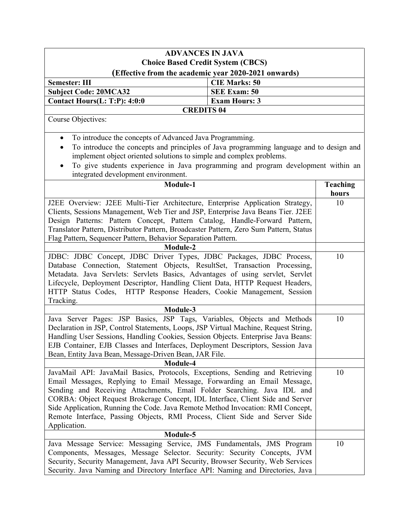| <b>ADVANCES IN JAVA</b>                                                                              |                      |                 |  |
|------------------------------------------------------------------------------------------------------|----------------------|-----------------|--|
| <b>Choice Based Credit System (CBCS)</b>                                                             |                      |                 |  |
| (Effective from the academic year 2020-2021 onwards)                                                 |                      |                 |  |
| <b>Semester: III</b>                                                                                 | <b>CIE Marks: 50</b> |                 |  |
| <b>Subject Code: 20MCA32</b>                                                                         | <b>SEE Exam: 50</b>  |                 |  |
| Contact Hours(L: T:P): 4:0:0                                                                         | <b>Exam Hours: 3</b> |                 |  |
| <b>CREDITS 04</b>                                                                                    |                      |                 |  |
| Course Objectives:                                                                                   |                      |                 |  |
|                                                                                                      |                      |                 |  |
| To introduce the concepts of Advanced Java Programming.<br>$\bullet$                                 |                      |                 |  |
| To introduce the concepts and principles of Java programming language and to design and<br>$\bullet$ |                      |                 |  |
| implement object oriented solutions to simple and complex problems.                                  |                      |                 |  |
| To give students experience in Java programming and program development within an<br>$\bullet$       |                      |                 |  |
| integrated development environment.                                                                  |                      |                 |  |
| Module-1                                                                                             |                      | <b>Teaching</b> |  |
|                                                                                                      |                      | hours           |  |
| J2EE Overview: J2EE Multi-Tier Architecture, Enterprise Application Strategy,                        |                      | 10              |  |
| Clients, Sessions Management, Web Tier and JSP, Enterprise Java Beans Tier. J2EE                     |                      |                 |  |
| Design Patterns: Pattern Concept, Pattern Catalog, Handle-Forward Pattern,                           |                      |                 |  |
|                                                                                                      |                      |                 |  |
| Translator Pattern, Distributor Pattern, Broadcaster Pattern, Zero Sum Pattern, Status               |                      |                 |  |
| Flag Pattern, Sequencer Pattern, Behavior Separation Pattern.                                        |                      |                 |  |
| Module-2<br>JDBC: JDBC Concept, JDBC Driver Types, JDBC Packages, JDBC Process,                      |                      |                 |  |
|                                                                                                      |                      | 10              |  |
| Database Connection, Statement Objects, ResultSet, Transaction Processing,                           |                      |                 |  |
| Metadata. Java Servlets: Servlets Basics, Advantages of using servlet, Servlet                       |                      |                 |  |
| Lifecycle, Deployment Descriptor, Handling Client Data, HTTP Request Headers,                        |                      |                 |  |
| HTTP Status Codes, HTTP Response Headers, Cookie Management, Session                                 |                      |                 |  |
| Tracking.                                                                                            |                      |                 |  |
| Module-3                                                                                             |                      |                 |  |
| Java Server Pages: JSP Basics, JSP Tags, Variables, Objects and Methods                              |                      | 10              |  |
| Declaration in JSP, Control Statements, Loops, JSP Virtual Machine, Request String,                  |                      |                 |  |
| Handling User Sessions, Handling Cookies, Session Objects. Enterprise Java Beans:                    |                      |                 |  |
| EJB Container, EJB Classes and Interfaces, Deployment Descriptors, Session Java                      |                      |                 |  |
| Bean, Entity Java Bean, Message-Driven Bean, JAR File.                                               |                      |                 |  |
| Module-4                                                                                             |                      |                 |  |
| JavaMail API: JavaMail Basics, Protocols, Exceptions, Sending and Retrieving                         |                      | 10              |  |
| Email Messages, Replying to Email Message, Forwarding an Email Message,                              |                      |                 |  |
| Sending and Receiving Attachments, Email Folder Searching. Java IDL and                              |                      |                 |  |
| CORBA: Object Request Brokerage Concept, IDL Interface, Client Side and Server                       |                      |                 |  |
| Side Application, Running the Code. Java Remote Method Invocation: RMI Concept,                      |                      |                 |  |
| Remote Interface, Passing Objects, RMI Process, Client Side and Server Side                          |                      |                 |  |
| Application.                                                                                         |                      |                 |  |
| Module-5                                                                                             |                      |                 |  |
| Java Message Service: Messaging Service, JMS Fundamentals, JMS Program                               |                      | 10              |  |
| Components, Messages, Message Selector. Security: Security Concepts, JVM                             |                      |                 |  |
| Security, Security Management, Java API Security, Browser Security, Web Services                     |                      |                 |  |
| Security. Java Naming and Directory Interface API: Naming and Directories, Java                      |                      |                 |  |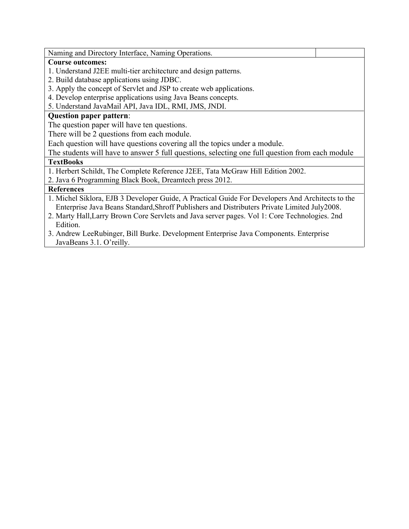Naming and Directory Interface, Naming Operations.

#### **Course outcomes:**

- 1. Understand J2EE multi-tier architecture and design patterns.
- 2. Build database applications using JDBC.
- 3. Apply the concept of Servlet and JSP to create web applications.
- 4. Develop enterprise applications using Java Beans concepts.
- 5. Understand JavaMail API, Java IDL, RMI, JMS, JNDI.

### **Question paper pattern**:

The question paper will have ten questions.

There will be 2 questions from each module.

Each question will have questions covering all the topics under a module.

The students will have to answer 5 full questions, selecting one full question from each module

### **TextBooks**

1. Herbert Schildt, The Complete Reference J2EE, Tata McGraw Hill Edition 2002.

2. Java 6 Programming Black Book, Dreamtech press 2012.

### **References**

- 1. Michel Siklora, EJB 3 Developer Guide, A Practical Guide For Developers And Architects to the Enterprise Java Beans Standard,Shroff Publishers and Distributers Private Limited July2008.
- 2. Marty Hall,Larry Brown Core Servlets and Java server pages. Vol 1: Core Technologies. 2nd Edition.
- 3. Andrew LeeRubinger, Bill Burke. Development Enterprise Java Components. Enterprise JavaBeans 3.1. O'reilly.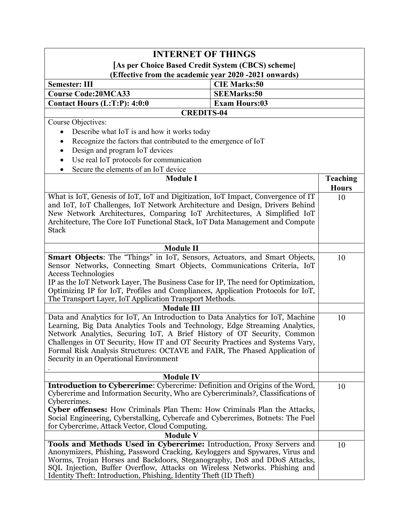| <b>INTERNET OF THINGS</b>                                                                                                                                                                                                                                                                                                                                                                                                                           |                      |                 |  |
|-----------------------------------------------------------------------------------------------------------------------------------------------------------------------------------------------------------------------------------------------------------------------------------------------------------------------------------------------------------------------------------------------------------------------------------------------------|----------------------|-----------------|--|
| [As per Choice Based Credit System (CBCS) scheme]                                                                                                                                                                                                                                                                                                                                                                                                   |                      |                 |  |
| (Effective from the academic year 2020 -2021 onwards)                                                                                                                                                                                                                                                                                                                                                                                               |                      |                 |  |
| <b>Semester: III</b>                                                                                                                                                                                                                                                                                                                                                                                                                                | <b>CIE Marks:50</b>  |                 |  |
| <b>Course Code:20MCA33</b>                                                                                                                                                                                                                                                                                                                                                                                                                          | <b>SEEMarks:50</b>   |                 |  |
| Contact Hours (L:T:P): 4:0:0                                                                                                                                                                                                                                                                                                                                                                                                                        | <b>Exam Hours:03</b> |                 |  |
| <b>CREDITS-04</b>                                                                                                                                                                                                                                                                                                                                                                                                                                   |                      |                 |  |
| Course Objectives:                                                                                                                                                                                                                                                                                                                                                                                                                                  |                      |                 |  |
| Describe what IoT is and how it works today<br>$\bullet$                                                                                                                                                                                                                                                                                                                                                                                            |                      |                 |  |
| Recognize the factors that contributed to the emergence of IoT<br>$\bullet$                                                                                                                                                                                                                                                                                                                                                                         |                      |                 |  |
| Design and program IoT devices<br>$\bullet$                                                                                                                                                                                                                                                                                                                                                                                                         |                      |                 |  |
| Use real IoT protocols for communication<br>$\bullet$                                                                                                                                                                                                                                                                                                                                                                                               |                      |                 |  |
| Secure the elements of an IoT device                                                                                                                                                                                                                                                                                                                                                                                                                |                      |                 |  |
| <b>Module I</b>                                                                                                                                                                                                                                                                                                                                                                                                                                     |                      | <b>Teaching</b> |  |
|                                                                                                                                                                                                                                                                                                                                                                                                                                                     |                      | <b>Hours</b>    |  |
| What is IoT, Genesis of IoT, IoT and Digitization, IoT Impact, Convergence of IT<br>and IoT, IoT Challenges, IoT Network Architecture and Design, Drivers Behind<br>New Network Architectures, Comparing IoT Architectures, A Simplified IoT<br>Architecture, The Core IoT Functional Stack, IoT Data Management and Compute<br><b>Stack</b>                                                                                                        |                      | 10              |  |
| <b>Module II</b>                                                                                                                                                                                                                                                                                                                                                                                                                                    |                      |                 |  |
| Smart Objects: The "Things" in IoT, Sensors, Actuators, and Smart Objects,<br>Sensor Networks, Connecting Smart Objects, Communications Criteria, IoT<br><b>Access Technologies</b><br>IP as the IoT Network Layer, The Business Case for IP, The need for Optimization,<br>Optimizing IP for IoT, Profiles and Compliances, Application Protocols for IoT,<br>The Transport Layer, IoT Application Transport Methods.                              |                      | 10              |  |
| <b>Module III</b>                                                                                                                                                                                                                                                                                                                                                                                                                                   |                      |                 |  |
| Data and Analytics for IoT, An Introduction to Data Analytics for IoT, Machine<br>Learning, Big Data Analytics Tools and Technology, Edge Streaming Analytics,<br>Network Analytics, Securing IoT, A Brief History of OT Security, Common<br>Challenges in OT Security, How IT and OT Security Practices and Systems Vary,<br>Formal Risk Analysis Structures: OCTAVE and FAIR, The Phased Application of<br>Security in an Operational Environment |                      | 10              |  |
| <b>Module IV</b>                                                                                                                                                                                                                                                                                                                                                                                                                                    |                      |                 |  |
| Introduction to Cybercrime: Cybercrime: Definition and Origins of the Word,<br>Cybercrime and Information Security, Who are Cybercriminals?, Classifications of<br>Cybercrimes.<br>Cyber offenses: How Criminals Plan Them: How Criminals Plan the Attacks,<br>Social Engineering, Cyberstalking, Cybercafe and Cybercrimes, Botnets: The Fuel<br>for Cybercrime, Attack Vector, Cloud Computing.                                                   |                      | 10              |  |
| <b>Module V</b>                                                                                                                                                                                                                                                                                                                                                                                                                                     |                      |                 |  |
| Tools and Methods Used in Cybercrime: Introduction, Proxy Servers and<br>Anonymizers, Phishing, Password Cracking, Keyloggers and Spywares, Virus and<br>Worms, Trojan Horses and Backdoors, Steganography, DoS and DDoS Attacks,<br>SQL Injection, Buffer Overflow, Attacks on Wireless Networks. Phishing and<br>Identity Theft: Introduction, Phishing, Identity Theft (ID Theft)                                                                |                      | 10              |  |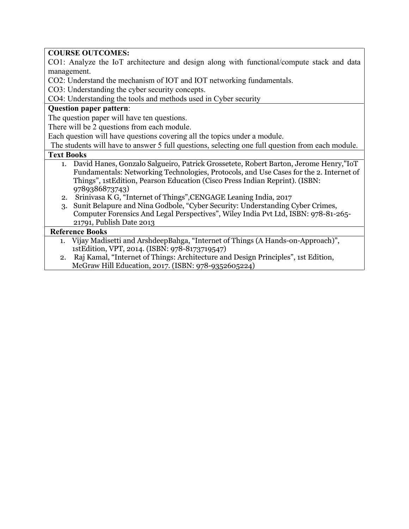# **COURSE OUTCOMES:**

CO1: Analyze the IoT architecture and design along with functional/compute stack and data management.

CO2: Understand the mechanism of IOT and IOT networking fundamentals.

CO3: Understanding the cyber security concepts.

CO4: Understanding the tools and methods used in Cyber security

## **Question paper pattern**:

The question paper will have ten questions.

There will be 2 questions from each module.

Each question will have questions covering all the topics under a module.

The students will have to answer 5 full questions, selecting one full question from each module.

### **Text Books**

- 1. David Hanes, Gonzalo Salgueiro, Patrick Grossetete, Robert Barton, Jerome Henry,"IoT Fundamentals: Networking Technologies, Protocols, and Use Cases for the 2. Internet of Things", 1stEdition, Pearson Education (Cisco Press Indian Reprint). (ISBN: 9789386873743)
- 2. Srinivasa K G, "Internet of Things",CENGAGE Leaning India, 2017
- 3. Sunit Belapure and Nina Godbole, "Cyber Security: Understanding Cyber Crimes, Computer Forensics And Legal Perspectives", Wiley India Pvt Ltd, ISBN: 978-81-265- 21791, Publish Date 2013

## **Reference Books**

- 1. Vijay Madisetti and ArshdeepBahga, "Internet of Things (A Hands-on-Approach)", 1stEdition, VPT, 2014. (ISBN: 978-8173719547)
- 2. Raj Kamal, "Internet of Things: Architecture and Design Principles", 1st Edition, McGraw Hill Education, 2017. (ISBN: 978-9352605224)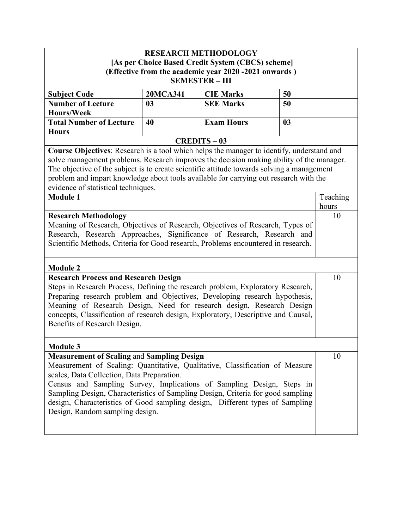|                                                                                                                                                            | <b>RESEARCH METHODOLOGY</b> |                                                       |    |          |
|------------------------------------------------------------------------------------------------------------------------------------------------------------|-----------------------------|-------------------------------------------------------|----|----------|
|                                                                                                                                                            |                             | [As per Choice Based Credit System (CBCS) scheme]     |    |          |
|                                                                                                                                                            |                             | (Effective from the academic year 2020 -2021 onwards) |    |          |
|                                                                                                                                                            |                             | <b>SEMESTER - III</b>                                 |    |          |
| <b>Subject Code</b>                                                                                                                                        | <b>20MCA341</b>             | <b>CIE Marks</b>                                      | 50 |          |
| <b>Number of Lecture</b>                                                                                                                                   | 0 <sub>3</sub>              | <b>SEE Marks</b>                                      | 50 |          |
| <b>Hours/Week</b>                                                                                                                                          |                             |                                                       |    |          |
| <b>Total Number of Lecture</b>                                                                                                                             | 40                          | <b>Exam Hours</b>                                     | 03 |          |
| <b>Hours</b>                                                                                                                                               |                             |                                                       |    |          |
|                                                                                                                                                            |                             | $CREDITS - 03$                                        |    |          |
| Course Objectives: Research is a tool which helps the manager to identify, understand and                                                                  |                             |                                                       |    |          |
| solve management problems. Research improves the decision making ability of the manager.                                                                   |                             |                                                       |    |          |
| The objective of the subject is to create scientific attitude towards solving a management                                                                 |                             |                                                       |    |          |
| problem and impart knowledge about tools available for carrying out research with the                                                                      |                             |                                                       |    |          |
| evidence of statistical techniques.                                                                                                                        |                             |                                                       |    |          |
| <b>Module 1</b>                                                                                                                                            |                             |                                                       |    | Teaching |
|                                                                                                                                                            |                             |                                                       |    | hours    |
| <b>Research Methodology</b>                                                                                                                                |                             |                                                       |    | 10       |
| Meaning of Research, Objectives of Research, Objectives of Research, Types of                                                                              |                             |                                                       |    |          |
| Research, Research Approaches, Significance of Research, Research and<br>Scientific Methods, Criteria for Good research, Problems encountered in research. |                             |                                                       |    |          |
|                                                                                                                                                            |                             |                                                       |    |          |
|                                                                                                                                                            |                             |                                                       |    |          |
| <b>Module 2</b>                                                                                                                                            |                             |                                                       |    |          |
| <b>Research Process and Research Design</b>                                                                                                                |                             |                                                       |    | 10       |
| Steps in Research Process, Defining the research problem, Exploratory Research,                                                                            |                             |                                                       |    |          |
| Preparing research problem and Objectives, Developing research hypothesis,                                                                                 |                             |                                                       |    |          |
| Meaning of Research Design, Need for research design, Research Design                                                                                      |                             |                                                       |    |          |
| concepts, Classification of research design, Exploratory, Descriptive and Causal,                                                                          |                             |                                                       |    |          |
| Benefits of Research Design.                                                                                                                               |                             |                                                       |    |          |
|                                                                                                                                                            |                             |                                                       |    |          |
| <b>Module 3</b>                                                                                                                                            |                             |                                                       |    |          |
| <b>Measurement of Scaling and Sampling Design</b>                                                                                                          |                             |                                                       |    | 10       |
| Measurement of Scaling: Quantitative, Qualitative, Classification of Measure                                                                               |                             |                                                       |    |          |
| scales, Data Collection, Data Preparation.                                                                                                                 |                             |                                                       |    |          |
| Census and Sampling Survey, Implications of Sampling Design, Steps in                                                                                      |                             |                                                       |    |          |
| Sampling Design, Characteristics of Sampling Design, Criteria for good sampling                                                                            |                             |                                                       |    |          |
| design, Characteristics of Good sampling design, Different types of Sampling                                                                               |                             |                                                       |    |          |
| Design, Random sampling design.                                                                                                                            |                             |                                                       |    |          |
|                                                                                                                                                            |                             |                                                       |    |          |
|                                                                                                                                                            |                             |                                                       |    |          |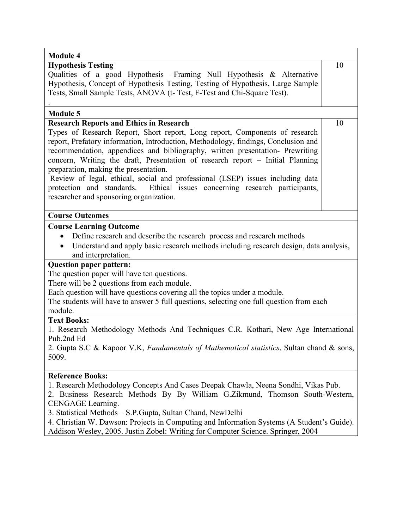| <b>Module 4</b>                                                                                                                                                                                                                                                                                                                                                                                                                         |    |
|-----------------------------------------------------------------------------------------------------------------------------------------------------------------------------------------------------------------------------------------------------------------------------------------------------------------------------------------------------------------------------------------------------------------------------------------|----|
| <b>Hypothesis Testing</b>                                                                                                                                                                                                                                                                                                                                                                                                               | 10 |
| Qualities of a good Hypothesis - Framing Null Hypothesis & Alternative<br>Hypothesis, Concept of Hypothesis Testing, Testing of Hypothesis, Large Sample<br>Tests, Small Sample Tests, ANOVA (t-Test, F-Test and Chi-Square Test).                                                                                                                                                                                                      |    |
| <b>Module 5</b>                                                                                                                                                                                                                                                                                                                                                                                                                         |    |
| <b>Research Reports and Ethics in Research</b>                                                                                                                                                                                                                                                                                                                                                                                          | 10 |
| Types of Research Report, Short report, Long report, Components of research<br>report, Prefatory information, Introduction, Methodology, findings, Conclusion and<br>recommendation, appendices and bibliography, written presentation- Prewriting<br>concern, Writing the draft, Presentation of research report – Initial Planning<br>preparation, making the presentation.                                                           |    |
| Review of legal, ethical, social and professional (LSEP) issues including data<br>protection and standards.<br>Ethical issues concerning research participants,<br>researcher and sponsoring organization.                                                                                                                                                                                                                              |    |
| <b>Course Outcomes</b>                                                                                                                                                                                                                                                                                                                                                                                                                  |    |
| <b>Course Learning Outcome</b><br>Define research and describe the research process and research methods<br>Understand and apply basic research methods including research design, data analysis,<br>and interpretation.                                                                                                                                                                                                                |    |
| <b>Question paper pattern:</b><br>The question paper will have ten questions.<br>There will be 2 questions from each module.<br>Each question will have questions covering all the topics under a module.<br>The students will have to answer 5 full questions, selecting one full question from each<br>module.                                                                                                                        |    |
| <b>Text Books:</b>                                                                                                                                                                                                                                                                                                                                                                                                                      |    |
| 1. Research Methodology Methods And Techniques C.R. Kothari, New Age International<br>Pub,2nd Ed                                                                                                                                                                                                                                                                                                                                        |    |
| 2. Gupta S.C & Kapoor V.K, Fundamentals of Mathematical statistics, Sultan chand & sons,<br>5009.                                                                                                                                                                                                                                                                                                                                       |    |
| <b>Reference Books:</b>                                                                                                                                                                                                                                                                                                                                                                                                                 |    |
| 1. Research Methodology Concepts And Cases Deepak Chawla, Neena Sondhi, Vikas Pub.<br>2. Business Research Methods By By William G.Zikmund, Thomson South-Western,<br>CENGAGE Learning.<br>3. Statistical Methods - S.P.Gupta, Sultan Chand, NewDelhi<br>4. Christian W. Dawson: Projects in Computing and Information Systems (A Student's Guide).<br>Addison Wesley, 2005. Justin Zobel: Writing for Computer Science. Springer, 2004 |    |
|                                                                                                                                                                                                                                                                                                                                                                                                                                         |    |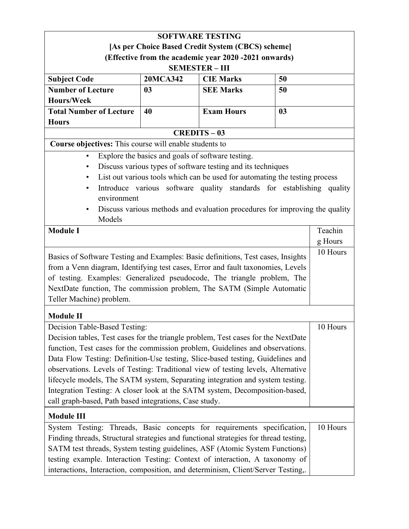| <b>SOFTWARE TESTING</b>                                                              |                                                   |                                                                             |    |          |
|--------------------------------------------------------------------------------------|---------------------------------------------------|-----------------------------------------------------------------------------|----|----------|
|                                                                                      |                                                   | [As per Choice Based Credit System (CBCS) scheme]                           |    |          |
|                                                                                      |                                                   | (Effective from the academic year 2020 -2021 onwards)                       |    |          |
|                                                                                      |                                                   | <b>SEMESTER-III</b>                                                         |    |          |
| <b>Subject Code</b>                                                                  | 20MCA342                                          | <b>CIE Marks</b>                                                            | 50 |          |
| <b>Number of Lecture</b>                                                             | 0 <sub>3</sub>                                    | <b>SEE Marks</b>                                                            | 50 |          |
| <b>Hours/Week</b>                                                                    |                                                   |                                                                             |    |          |
| <b>Total Number of Lecture</b>                                                       | 40                                                | <b>Exam Hours</b>                                                           | 03 |          |
| <b>Hours</b>                                                                         |                                                   |                                                                             |    |          |
|                                                                                      |                                                   | <b>CREDITS-03</b>                                                           |    |          |
| Course objectives: This course will enable students to                               |                                                   |                                                                             |    |          |
| $\bullet$                                                                            | Explore the basics and goals of software testing. |                                                                             |    |          |
| $\bullet$                                                                            |                                                   | Discuss various types of software testing and its techniques                |    |          |
| $\bullet$                                                                            |                                                   | List out various tools which can be used for automating the testing process |    |          |
| $\bullet$                                                                            |                                                   | Introduce various software quality standards for establishing quality       |    |          |
| environment                                                                          |                                                   |                                                                             |    |          |
| $\bullet$                                                                            |                                                   | Discuss various methods and evaluation procedures for improving the quality |    |          |
| Models                                                                               |                                                   |                                                                             |    |          |
| <b>Module I</b>                                                                      |                                                   |                                                                             |    | Teachin  |
|                                                                                      |                                                   |                                                                             |    | g Hours  |
| Basics of Software Testing and Examples: Basic definitions, Test cases, Insights     |                                                   |                                                                             |    | 10 Hours |
| from a Venn diagram, Identifying test cases, Error and fault taxonomies, Levels      |                                                   |                                                                             |    |          |
| of testing. Examples: Generalized pseudocode, The triangle problem, The              |                                                   |                                                                             |    |          |
| NextDate function, The commission problem, The SATM (Simple Automatic                |                                                   |                                                                             |    |          |
| Teller Machine) problem.                                                             |                                                   |                                                                             |    |          |
|                                                                                      |                                                   |                                                                             |    |          |
| <b>Module II</b>                                                                     |                                                   |                                                                             |    |          |
| Decision Table-Based Testing:                                                        |                                                   |                                                                             |    | 10 Hours |
| Decision tables, Test cases for the triangle problem, Test cases for the NextDate    |                                                   |                                                                             |    |          |
| function, Test cases for the commission problem, Guidelines and observations.        |                                                   |                                                                             |    |          |
| Data Flow Testing: Definition-Use testing, Slice-based testing, Guidelines and       |                                                   |                                                                             |    |          |
| observations. Levels of Testing: Traditional view of testing levels, Alternative     |                                                   |                                                                             |    |          |
| lifecycle models, The SATM system, Separating integration and system testing.        |                                                   |                                                                             |    |          |
| Integration Testing: A closer look at the SATM system, Decomposition-based,          |                                                   |                                                                             |    |          |
| call graph-based, Path based integrations, Case study.                               |                                                   |                                                                             |    |          |
| <b>Module III</b>                                                                    |                                                   |                                                                             |    |          |
| System Testing: Threads, Basic concepts for requirements specification,              |                                                   |                                                                             |    | 10 Hours |
| Finding threads, Structural strategies and functional strategies for thread testing, |                                                   |                                                                             |    |          |
| SATM test threads, System testing guidelines, ASF (Atomic System Functions)          |                                                   |                                                                             |    |          |
| testing example. Interaction Testing: Context of interaction, A taxonomy of          |                                                   |                                                                             |    |          |
| interactions, Interaction, composition, and determinism, Client/Server Testing,.     |                                                   |                                                                             |    |          |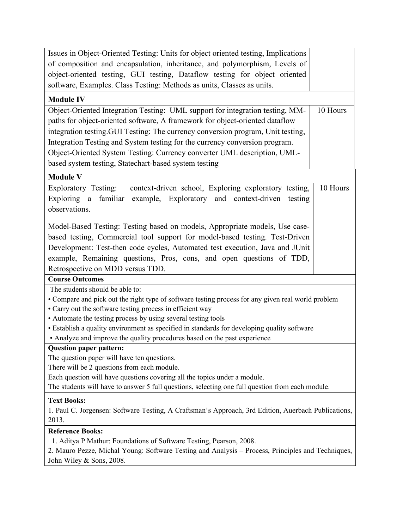| Issues in Object-Oriented Testing: Units for object oriented testing, Implications                  |  |  |
|-----------------------------------------------------------------------------------------------------|--|--|
| of composition and encapsulation, inheritance, and polymorphism, Levels of                          |  |  |
| object-oriented testing, GUI testing, Dataflow testing for object oriented                          |  |  |
| software, Examples. Class Testing: Methods as units, Classes as units.                              |  |  |
| <b>Module IV</b>                                                                                    |  |  |
| 10 Hours<br>Object-Oriented Integration Testing: UML support for integration testing, MM-           |  |  |
| paths for object-oriented software, A framework for object-oriented dataflow                        |  |  |
| integration testing. GUI Testing: The currency conversion program, Unit testing,                    |  |  |
| Integration Testing and System testing for the currency conversion program.                         |  |  |
| Object-Oriented System Testing: Currency converter UML description, UML-                            |  |  |
| based system testing, Statechart-based system testing                                               |  |  |
| <b>Module V</b>                                                                                     |  |  |
| 10 Hours<br>Exploratory Testing:<br>context-driven school, Exploring exploratory testing,           |  |  |
| Exploring a familiar example, Exploratory and context-driven testing                                |  |  |
| observations.                                                                                       |  |  |
|                                                                                                     |  |  |
| Model-Based Testing: Testing based on models, Appropriate models, Use case-                         |  |  |
| based testing, Commercial tool support for model-based testing. Test-Driven                         |  |  |
| Development: Test-then code cycles, Automated test execution, Java and JUnit                        |  |  |
| example, Remaining questions, Pros, cons, and open questions of TDD,                                |  |  |
| Retrospective on MDD versus TDD.                                                                    |  |  |
| <b>Course Outcomes</b>                                                                              |  |  |
| The students should be able to:                                                                     |  |  |
| • Compare and pick out the right type of software testing process for any given real world problem  |  |  |
| • Carry out the software testing process in efficient way                                           |  |  |
| • Automate the testing process by using several testing tools                                       |  |  |
| • Establish a quality environment as specified in standards for developing quality software         |  |  |
| • Analyze and improve the quality procedures based on the past experience                           |  |  |
| <b>Question paper pattern:</b>                                                                      |  |  |
| The question paper will have ten questions.                                                         |  |  |
| There will be 2 questions from each module.                                                         |  |  |
| Each question will have questions covering all the topics under a module.                           |  |  |
| The students will have to answer 5 full questions, selecting one full question from each module.    |  |  |
| <b>Text Books:</b>                                                                                  |  |  |
| 1. Paul C. Jorgensen: Software Testing, A Craftsman's Approach, 3rd Edition, Auerbach Publications, |  |  |
| 2013.                                                                                               |  |  |
| <b>Reference Books:</b>                                                                             |  |  |
| 1. Aditya P Mathur: Foundations of Software Testing, Pearson, 2008.                                 |  |  |
| 2. Mauro Pezze, Michal Young: Software Testing and Analysis – Process, Principles and Techniques,   |  |  |
| John Wiley & Sons, 2008.                                                                            |  |  |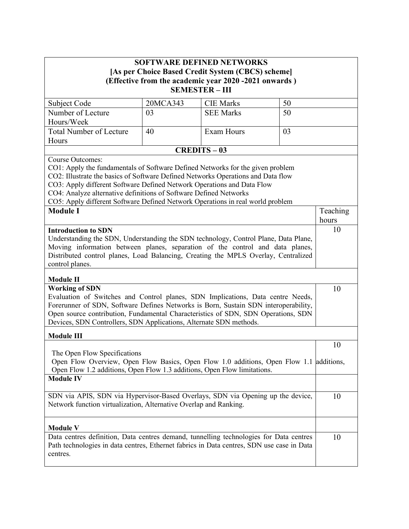| <b>SOFTWARE DEFINED NETWORKS</b><br>[As per Choice Based Credit System (CBCS) scheme]<br>(Effective from the academic year 2020 -2021 onwards)<br><b>SEMESTER-III</b>                                                                                                                                                                                                                               |          |                   |    |                   |
|-----------------------------------------------------------------------------------------------------------------------------------------------------------------------------------------------------------------------------------------------------------------------------------------------------------------------------------------------------------------------------------------------------|----------|-------------------|----|-------------------|
| Subject Code                                                                                                                                                                                                                                                                                                                                                                                        | 20MCA343 | <b>CIE Marks</b>  | 50 |                   |
| Number of Lecture                                                                                                                                                                                                                                                                                                                                                                                   | 03       | <b>SEE Marks</b>  | 50 |                   |
| Hours/Week                                                                                                                                                                                                                                                                                                                                                                                          |          |                   |    |                   |
| <b>Total Number of Lecture</b>                                                                                                                                                                                                                                                                                                                                                                      | 40       | Exam Hours        | 03 |                   |
| Hours                                                                                                                                                                                                                                                                                                                                                                                               |          |                   |    |                   |
| <b>Course Outcomes:</b>                                                                                                                                                                                                                                                                                                                                                                             |          | <b>CREDITS-03</b> |    |                   |
| CO1: Apply the fundamentals of Software Defined Networks for the given problem<br>CO2: Illustrate the basics of Software Defined Networks Operations and Data flow<br>CO3: Apply different Software Defined Network Operations and Data Flow<br>CO4: Analyze alternative definitions of Software Defined Networks<br>CO5: Apply different Software Defined Network Operations in real world problem |          |                   |    |                   |
| <b>Module I</b>                                                                                                                                                                                                                                                                                                                                                                                     |          |                   |    | Teaching<br>hours |
| <b>Introduction to SDN</b><br>Understanding the SDN, Understanding the SDN technology, Control Plane, Data Plane,<br>Moving information between planes, separation of the control and data planes,<br>Distributed control planes, Load Balancing, Creating the MPLS Overlay, Centralized<br>control planes.                                                                                         |          |                   |    | 10                |
| <b>Module II</b><br><b>Working of SDN</b><br>Evaluation of Switches and Control planes, SDN Implications, Data centre Needs,<br>Forerunner of SDN, Software Defines Networks is Born, Sustain SDN interoperability,<br>Open source contribution, Fundamental Characteristics of SDN, SDN Operations, SDN<br>Devices, SDN Controllers, SDN Applications, Alternate SDN methods.<br><b>Module III</b> |          |                   | 10 |                   |
|                                                                                                                                                                                                                                                                                                                                                                                                     |          |                   |    | 10                |
| The Open Flow Specifications<br>Open Flow Overview, Open Flow Basics, Open Flow 1.0 additions, Open Flow 1.1 additions,<br>Open Flow 1.2 additions, Open Flow 1.3 additions, Open Flow limitations.                                                                                                                                                                                                 |          |                   |    |                   |
| <b>Module IV</b>                                                                                                                                                                                                                                                                                                                                                                                    |          |                   |    |                   |
| SDN via APIS, SDN via Hypervisor-Based Overlays, SDN via Opening up the device,<br>Network function virtualization, Alternative Overlap and Ranking.                                                                                                                                                                                                                                                |          |                   |    | 10                |
| <b>Module V</b>                                                                                                                                                                                                                                                                                                                                                                                     |          |                   |    |                   |
| Data centres definition, Data centres demand, tunnelling technologies for Data centres<br>Path technologies in data centres, Ethernet fabrics in Data centres, SDN use case in Data<br>centres.                                                                                                                                                                                                     |          |                   |    | 10                |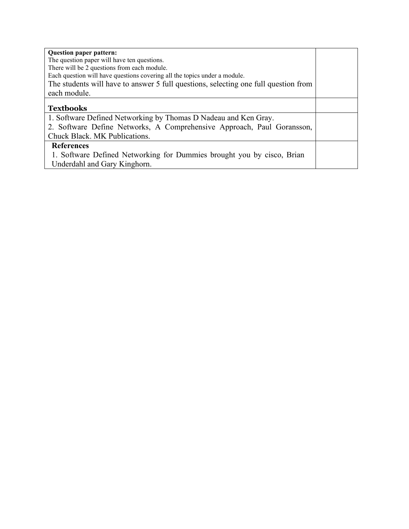| <b>Question paper pattern:</b>                                                      |  |
|-------------------------------------------------------------------------------------|--|
| The question paper will have ten questions.                                         |  |
| There will be 2 questions from each module.                                         |  |
| Each question will have questions covering all the topics under a module.           |  |
| The students will have to answer 5 full questions, selecting one full question from |  |
| each module.                                                                        |  |
| <b>Textbooks</b>                                                                    |  |
| 1. Software Defined Networking by Thomas D Nadeau and Ken Gray.                     |  |
| 2. Software Define Networks, A Comprehensive Approach, Paul Goransson,              |  |
| Chuck Black. MK Publications.                                                       |  |
| <b>References</b>                                                                   |  |
| 1. Software Defined Networking for Dummies brought you by cisco, Brian              |  |
| Underdahl and Gary Kinghorn.                                                        |  |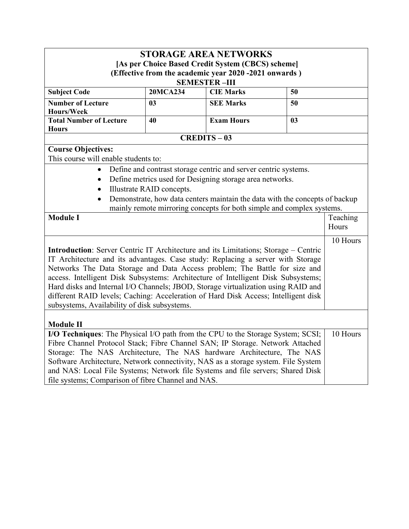|                                                                                            |                           | <b>STORAGE AREA NETWORKS</b>                                                |    |          |
|--------------------------------------------------------------------------------------------|---------------------------|-----------------------------------------------------------------------------|----|----------|
|                                                                                            |                           | [As per Choice Based Credit System (CBCS) scheme]                           |    |          |
|                                                                                            |                           | (Effective from the academic year 2020 -2021 onwards)                       |    |          |
|                                                                                            |                           | <b>SEMESTER-III</b>                                                         |    |          |
| <b>Subject Code</b>                                                                        | <b>20MCA234</b>           | <b>CIE Marks</b>                                                            | 50 |          |
| <b>Number of Lecture</b>                                                                   | 03                        | <b>SEE Marks</b>                                                            | 50 |          |
| Hours/Week                                                                                 |                           |                                                                             |    |          |
| <b>Total Number of Lecture</b><br><b>Hours</b>                                             | 40                        | <b>Exam Hours</b>                                                           | 03 |          |
|                                                                                            |                           | <b>CREDITS-03</b>                                                           |    |          |
| <b>Course Objectives:</b>                                                                  |                           |                                                                             |    |          |
| This course will enable students to:                                                       |                           |                                                                             |    |          |
|                                                                                            |                           | Define and contrast storage centric and server centric systems.             |    |          |
|                                                                                            |                           | Define metrics used for Designing storage area networks.                    |    |          |
|                                                                                            | Illustrate RAID concepts. |                                                                             |    |          |
|                                                                                            |                           | Demonstrate, how data centers maintain the data with the concepts of backup |    |          |
| mainly remote mirroring concepts for both simple and complex systems.                      |                           |                                                                             |    |          |
| <b>Module I</b>                                                                            |                           |                                                                             |    | Teaching |
|                                                                                            |                           |                                                                             |    | Hours    |
|                                                                                            |                           |                                                                             |    | 10 Hours |
| <b>Introduction:</b> Server Centric IT Architecture and its Limitations; Storage – Centric |                           |                                                                             |    |          |
| IT Architecture and its advantages. Case study: Replacing a server with Storage            |                           |                                                                             |    |          |
| Networks The Data Storage and Data Access problem; The Battle for size and                 |                           |                                                                             |    |          |
| access. Intelligent Disk Subsystems: Architecture of Intelligent Disk Subsystems;          |                           |                                                                             |    |          |
| Hard disks and Internal I/O Channels; JBOD, Storage virtualization using RAID and          |                           |                                                                             |    |          |
| different RAID levels; Caching: Acceleration of Hard Disk Access; Intelligent disk         |                           |                                                                             |    |          |
| subsystems, Availability of disk subsystems.                                               |                           |                                                                             |    |          |
| <b>Module II</b>                                                                           |                           |                                                                             |    |          |
| I/O Techniques: The Physical I/O path from the CPU to the Storage System; SCSI;            |                           |                                                                             |    | 10 Hours |
| Fibre Channel Protocol Stack; Fibre Channel SAN; IP Storage. Network Attached              |                           |                                                                             |    |          |
| Storage: The NAS Architecture, The NAS hardware Architecture, The NAS                      |                           |                                                                             |    |          |
| Software Architecture, Network connectivity, NAS as a storage system. File System          |                           |                                                                             |    |          |
| and NAS: Local File Systems; Network file Systems and file servers; Shared Disk            |                           |                                                                             |    |          |
| file systems; Comparison of fibre Channel and NAS.                                         |                           |                                                                             |    |          |